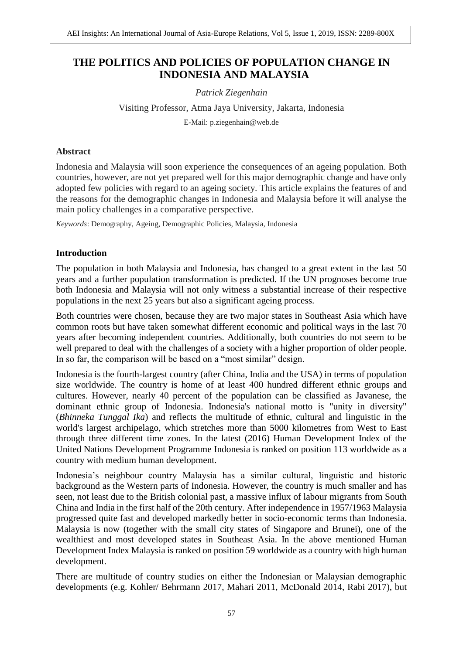# **THE POLITICS AND POLICIES OF POPULATION CHANGE IN INDONESIA AND MALAYSIA**

*Patrick Ziegenhain*

Visiting Professor, Atma Jaya University, Jakarta, Indonesia

E-Mail: p.ziegenhain@web.de

#### **Abstract**

Indonesia and Malaysia will soon experience the consequences of an ageing population. Both countries, however, are not yet prepared well for this major demographic change and have only adopted few policies with regard to an ageing society. This article explains the features of and the reasons for the demographic changes in Indonesia and Malaysia before it will analyse the main policy challenges in a comparative perspective.

*Keywords*: Demography, Ageing, Demographic Policies, Malaysia, Indonesia

#### **Introduction**

The population in both Malaysia and Indonesia, has changed to a great extent in the last 50 years and a further population transformation is predicted. If the UN prognoses become true both Indonesia and Malaysia will not only witness a substantial increase of their respective populations in the next 25 years but also a significant ageing process.

Both countries were chosen, because they are two major states in Southeast Asia which have common roots but have taken somewhat different economic and political ways in the last 70 years after becoming independent countries. Additionally, both countries do not seem to be well prepared to deal with the challenges of a society with a higher proportion of older people. In so far, the comparison will be based on a "most similar" design.

Indonesia is the fourth-largest country (after China, India and the USA) in terms of population size worldwide. The country is home of at least 400 hundred different ethnic groups and cultures. However, nearly 40 percent of the population can be classified as Javanese, the dominant ethnic group of Indonesia. Indonesia's national motto is "unity in diversity" (*Bhinneka Tunggal Ika*) and reflects the multitude of ethnic, cultural and linguistic in the world's largest archipelago, which stretches more than 5000 kilometres from West to East through three different time zones. In the latest (2016) Human Development Index of the United Nations Development Programme Indonesia is ranked on position 113 worldwide as a country with medium human development.

Indonesia's neighbour country Malaysia has a similar cultural, linguistic and historic background as the Western parts of Indonesia. However, the country is much smaller and has seen, not least due to the British colonial past, a massive influx of labour migrants from South China and India in the first half of the 20th century. After independence in 1957/1963 Malaysia progressed quite fast and developed markedly better in socio-economic terms than Indonesia. Malaysia is now (together with the small city states of Singapore and Brunei), one of the wealthiest and most developed states in Southeast Asia. In the above mentioned Human Development Index Malaysia is ranked on position 59 worldwide as a country with high human development.

There are multitude of country studies on either the Indonesian or Malaysian demographic developments (e.g. Kohler/ Behrmann 2017, Mahari 2011, McDonald 2014, Rabi 2017), but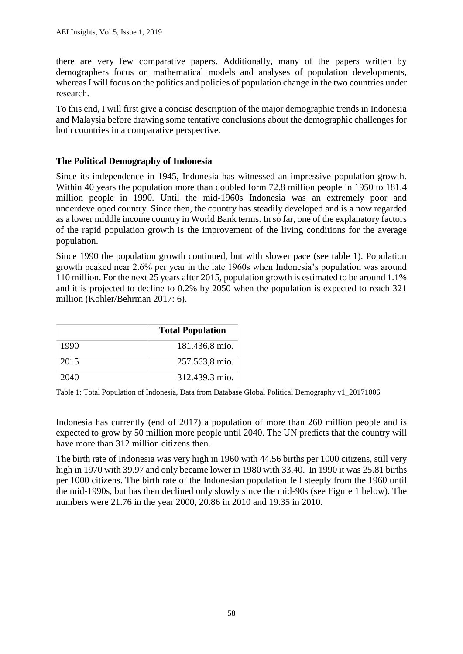there are very few comparative papers. Additionally, many of the papers written by demographers focus on mathematical models and analyses of population developments, whereas I will focus on the politics and policies of population change in the two countries under research.

To this end, I will first give a concise description of the major demographic trends in Indonesia and Malaysia before drawing some tentative conclusions about the demographic challenges for both countries in a comparative perspective.

## **The Political Demography of Indonesia**

Since its independence in 1945, Indonesia has witnessed an impressive population growth. Within 40 years the population more than doubled form 72.8 million people in 1950 to 181.4 million people in 1990. Until the mid-1960s Indonesia was an extremely poor and underdeveloped country. Since then, the country has steadily developed and is a now regarded as a lower middle income country in World Bank terms. In so far, one of the explanatory factors of the rapid population growth is the improvement of the living conditions for the average population.

Since 1990 the population growth continued, but with slower pace (see table 1). Population growth peaked near 2.6% per year in the late 1960s when Indonesia's population was around 110 million. For the next 25 years after 2015, population growth is estimated to be around 1.1% and it is projected to decline to 0.2% by 2050 when the population is expected to reach 321 million (Kohler/Behrman 2017: 6).

|      | <b>Total Population</b> |
|------|-------------------------|
| 1990 | 181.436,8 mio.          |
| 2015 | 257.563,8 mio.          |
| 2040 | 312.439,3 mio.          |

Table 1: Total Population of Indonesia, Data from Database Global Political Demography v1\_20171006

Indonesia has currently (end of 2017) a population of more than 260 million people and is expected to grow by 50 million more people until 2040. The UN predicts that the country will have more than 312 million citizens then.

The birth rate of Indonesia was very high in 1960 with 44.56 births per 1000 citizens, still very high in 1970 with 39.97 and only became lower in 1980 with 33.40. In 1990 it was 25.81 births per 1000 citizens. The birth rate of the Indonesian population fell steeply from the 1960 until the mid-1990s, but has then declined only slowly since the mid-90s (see Figure 1 below). The numbers were 21.76 in the year 2000, 20.86 in 2010 and 19.35 in 2010.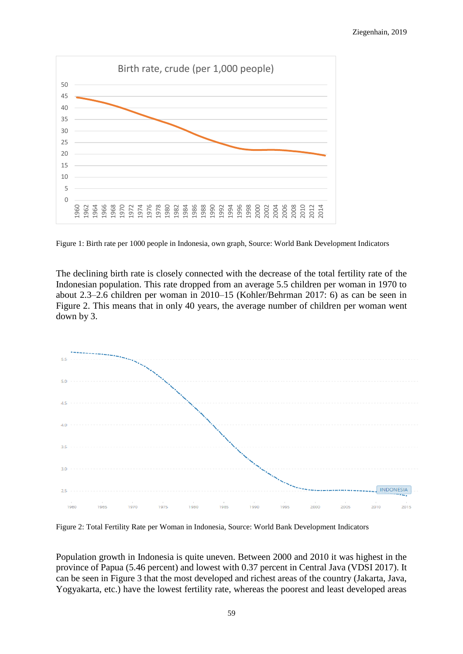

Figure 1: Birth rate per 1000 people in Indonesia, own graph, Source: World Bank Development Indicators

The declining birth rate is closely connected with the decrease of the total fertility rate of the Indonesian population. This rate dropped from an average 5.5 children per woman in 1970 to about 2.3–2.6 children per woman in 2010–15 (Kohler/Behrman 2017: 6) as can be seen in Figure 2. This means that in only 40 years, the average number of children per woman went down by 3.



Figure 2: Total Fertility Rate per Woman in Indonesia, Source: World Bank Development Indicators

Population growth in Indonesia is quite uneven. Between 2000 and 2010 it was highest in the province of Papua (5.46 percent) and lowest with 0.37 percent in Central Java (VDSI 2017). It can be seen in Figure 3 that the most developed and richest areas of the country (Jakarta, Java, Yogyakarta, etc.) have the lowest fertility rate, whereas the poorest and least developed areas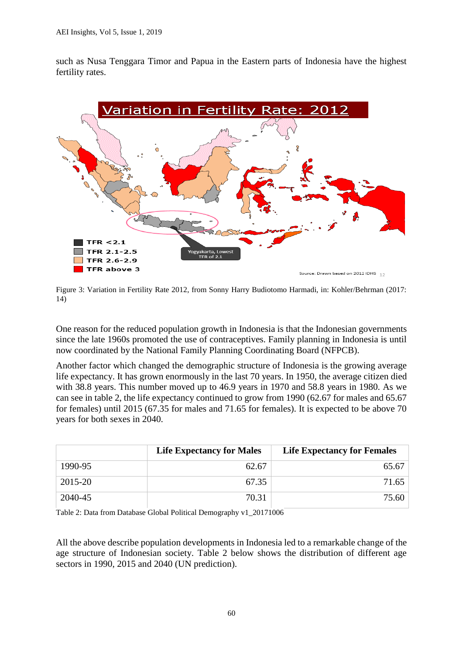such as Nusa Tenggara Timor and Papua in the Eastern parts of Indonesia have the highest fertility rates.



Figure 3: Variation in Fertility Rate 2012, from Sonny Harry Budiotomo Harmadi, in: Kohler/Behrman (2017: 14)

One reason for the reduced population growth in Indonesia is that the Indonesian governments since the late 1960s promoted the use of contraceptives. Family planning in Indonesia is until now coordinated by the National Family Planning Coordinating Board (NFPCB).

Another factor which changed the demographic structure of Indonesia is the growing average life expectancy. It has grown enormously in the last 70 years. In 1950, the average citizen died with 38.8 years. This number moved up to 46.9 years in 1970 and 58.8 years in 1980. As we can see in table 2, the life expectancy continued to grow from 1990 (62.67 for males and 65.67 for females) until 2015 (67.35 for males and 71.65 for females). It is expected to be above 70 years for both sexes in 2040.

|         | <b>Life Expectancy for Males</b> | <b>Life Expectancy for Females</b> |
|---------|----------------------------------|------------------------------------|
| 1990-95 | 62.67                            | 65.67                              |
| 2015-20 | 67.35                            | 71.65                              |
| 2040-45 | 70.31                            | 75.60                              |

Table 2: Data from Database Global Political Demography v1\_20171006

All the above describe population developments in Indonesia led to a remarkable change of the age structure of Indonesian society. Table 2 below shows the distribution of different age sectors in 1990, 2015 and 2040 (UN prediction).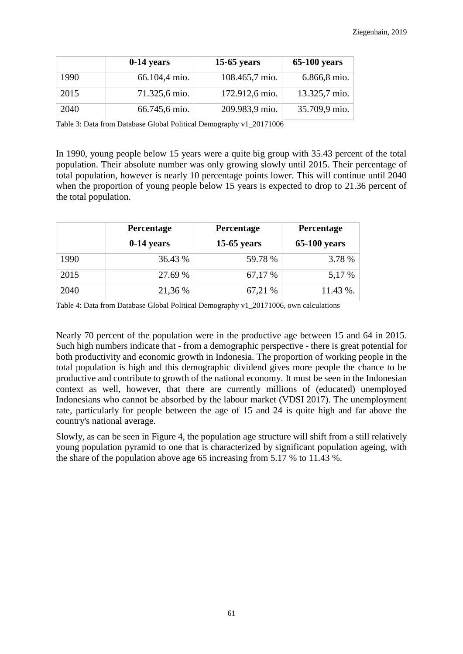|      | $0-14$ years  | $15-65$ years  | <b>65-100 years</b> |
|------|---------------|----------------|---------------------|
| 1990 | 66.104,4 mio. | 108.465,7 mio. | 6.866,8 mio.        |
| 2015 | 71.325,6 mio. | 172.912,6 mio. | 13.325,7 mio.       |
| 2040 | 66.745,6 mio. | 209.983,9 mio. | 35.709,9 mio.       |

Table 3: Data from Database Global Political Demography v1\_20171006

In 1990, young people below 15 years were a quite big group with 35.43 percent of the total population. Their absolute number was only growing slowly until 2015. Their percentage of total population, however is nearly 10 percentage points lower. This will continue until 2040 when the proportion of young people below 15 years is expected to drop to 21.36 percent of the total population.

|      | Percentage   | Percentage    | Percentage          |  |
|------|--------------|---------------|---------------------|--|
|      | $0-14$ years | $15-65$ years | <b>65-100 years</b> |  |
| 1990 | 36.43 %      | 59.78 %       | 3.78 %              |  |
| 2015 | 27.69 %      | 67,17 %       | 5,17 %              |  |
| 2040 | 21,36 %      | 67,21 %       | 11.43 %.            |  |

Table 4: Data from Database Global Political Demography v1\_20171006, own calculations

Nearly 70 percent of the population were in the productive age between 15 and 64 in 2015. Such high numbers indicate that - from a demographic perspective - there is great potential for both productivity and economic growth in Indonesia. The proportion of working people in the total population is high and this demographic dividend gives more people the chance to be productive and contribute to growth of the national economy. It must be seen in the Indonesian context as well, however, that there are currently millions of (educated) unemployed Indonesians who cannot be absorbed by the labour market (VDSI 2017). The unemployment rate, particularly for people between the age of 15 and 24 is quite high and far above the country's national average.

Slowly, as can be seen in Figure 4, the population age structure will shift from a still relatively young population pyramid to one that is characterized by significant population ageing, with the share of the population above age 65 increasing from 5.17 % to 11.43 %.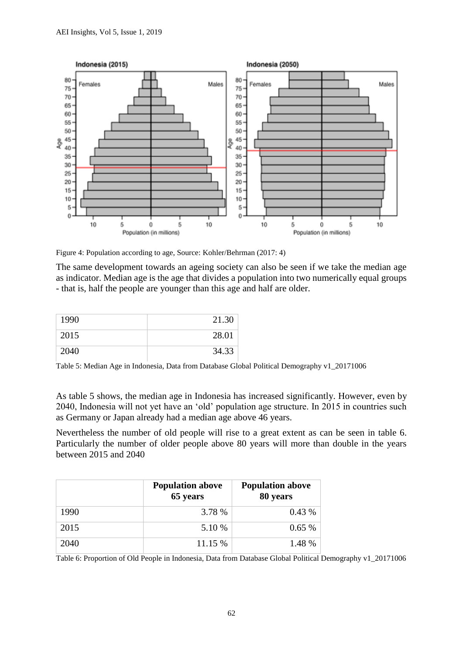

Figure 4: Population according to age, Source: Kohler/Behrman (2017: 4)

The same development towards an ageing society can also be seen if we take the median age as indicator. Median age is the age that divides a population into two numerically equal groups - that is, half the people are younger than this age and half are older.

| 1990 | 21.30 |
|------|-------|
| 2015 | 28.01 |
| 2040 | 34.33 |

Table 5: Median Age in Indonesia, Data from Database Global Political Demography v1\_20171006

As table 5 shows, the median age in Indonesia has increased significantly. However, even by 2040, Indonesia will not yet have an 'old' population age structure. In 2015 in countries such as Germany or Japan already had a median age above 46 years.

Nevertheless the number of old people will rise to a great extent as can be seen in table 6. Particularly the number of older people above 80 years will more than double in the years between 2015 and 2040

|      | <b>Population above</b><br>65 years | <b>Population above</b><br>80 years |
|------|-------------------------------------|-------------------------------------|
| 1990 | 3.78 %                              | $0.43\%$                            |
| 2015 | 5.10 %                              | 0.65%                               |
| 2040 | 11.15 %                             | 1.48 %                              |

Table 6: Proportion of Old People in Indonesia, Data from Database Global Political Demography v1\_20171006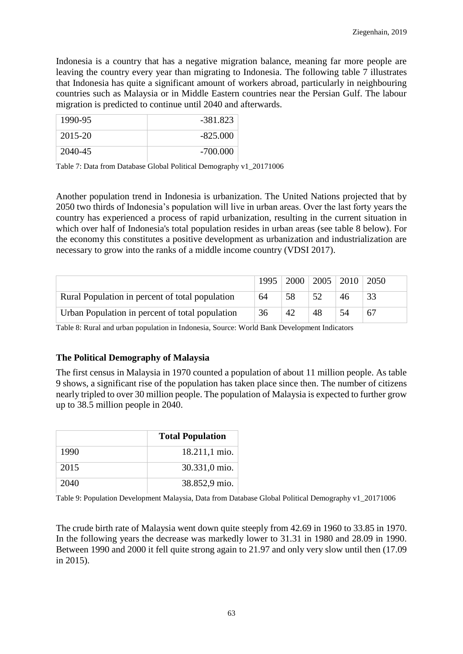Indonesia is a country that has a negative migration balance, meaning far more people are leaving the country every year than migrating to Indonesia. The following table 7 illustrates that Indonesia has quite a significant amount of workers abroad, particularly in neighbouring countries such as Malaysia or in Middle Eastern countries near the Persian Gulf. The labour migration is predicted to continue until 2040 and afterwards.

| 1990-95 | -381.823   |
|---------|------------|
| 2015-20 | $-825.000$ |
| 2040-45 | $-700.000$ |

Table 7: Data from Database Global Political Demography v1\_20171006

Another population trend in Indonesia is urbanization. The United Nations projected that by 2050 two thirds of Indonesia's population will live in urban areas. Over the last forty years the country has experienced a process of rapid urbanization, resulting in the current situation in which over half of Indonesia's total population resides in urban areas (see table 8 below). For the economy this constitutes a positive development as urbanization and industrialization are necessary to grow into the ranks of a middle income country (VDSI 2017).

|                                                 | 1995 |    |    | 2000   2005   2010   2050 |    |
|-------------------------------------------------|------|----|----|---------------------------|----|
| Rural Population in percent of total population | 64   | 58 |    | 46                        |    |
| Urban Population in percent of total population | 36   | 42 | 48 | 54                        | 67 |

Table 8: Rural and urban population in Indonesia, Source: World Bank Development Indicators

## **The Political Demography of Malaysia**

The first census in Malaysia in 1970 counted a population of about 11 million people. As table 9 shows, a significant rise of the population has taken place since then. The number of citizens nearly tripled to over 30 million people. The population of Malaysia is expected to further grow up to 38.5 million people in 2040.

|      | <b>Total Population</b> |
|------|-------------------------|
| 1990 | $18.211,1 \text{ mio.}$ |
| 2015 | $30.331,0$ mio.         |
| 2040 | 38.852,9 mio.           |

Table 9: Population Development Malaysia, Data from Database Global Political Demography v1\_20171006

The crude birth rate of Malaysia went down quite steeply from 42.69 in 1960 to 33.85 in 1970. In the following years the decrease was markedly lower to 31.31 in 1980 and 28.09 in 1990. Between 1990 and 2000 it fell quite strong again to 21.97 and only very slow until then (17.09 in 2015).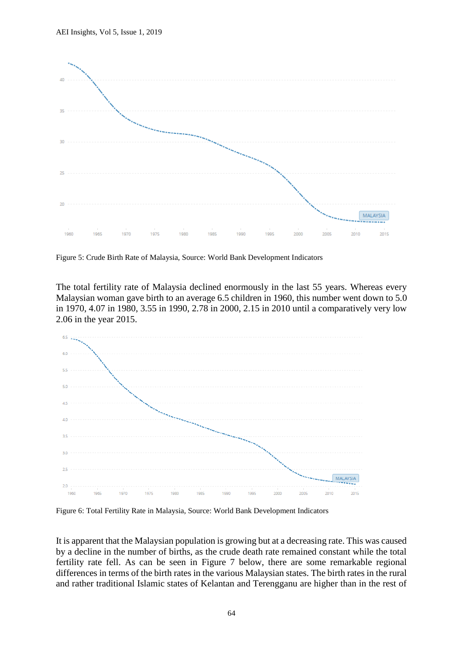

Figure 5: Crude Birth Rate of Malaysia, Source: World Bank Development Indicators

The total fertility rate of Malaysia declined enormously in the last 55 years. Whereas every Malaysian woman gave birth to an average 6.5 children in 1960, this number went down to 5.0 in 1970, 4.07 in 1980, 3.55 in 1990, 2.78 in 2000, 2.15 in 2010 until a comparatively very low 2.06 in the year 2015.



Figure 6: Total Fertility Rate in Malaysia, Source: World Bank Development Indicators

It is apparent that the Malaysian population is growing but at a decreasing rate. This was caused by a decline in the number of births, as the crude death rate remained constant while the total fertility rate fell. As can be seen in Figure 7 below, there are some remarkable regional differences in terms of the birth rates in the various Malaysian states. The birth rates in the rural and rather traditional Islamic states of Kelantan and Terengganu are higher than in the rest of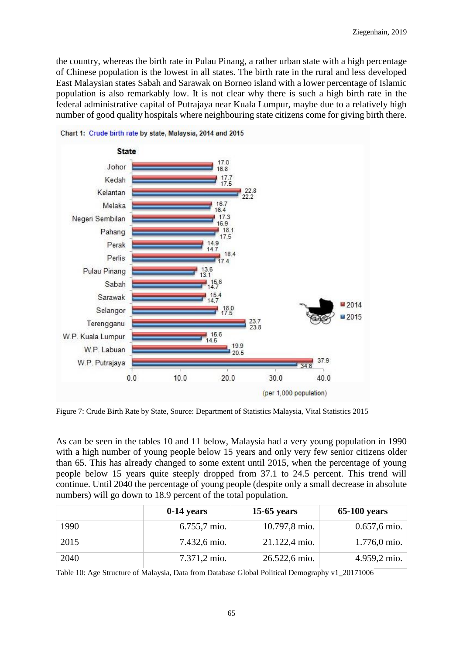the country, whereas the birth rate in Pulau Pinang, a rather urban state with a high percentage of Chinese population is the lowest in all states. The birth rate in the rural and less developed East Malaysian states Sabah and Sarawak on Borneo island with a lower percentage of Islamic population is also remarkably low. It is not clear why there is such a high birth rate in the federal administrative capital of Putrajaya near Kuala Lumpur, maybe due to a relatively high number of good quality hospitals where neighbouring state citizens come for giving birth there.



Chart 1: Crude birth rate by state. Malaysia. 2014 and 2015

Figure 7: Crude Birth Rate by State, Source: Department of Statistics Malaysia, Vital Statistics 2015

As can be seen in the tables 10 and 11 below, Malaysia had a very young population in 1990 with a high number of young people below 15 years and only very few senior citizens older than 65. This has already changed to some extent until 2015, when the percentage of young people below 15 years quite steeply dropped from 37.1 to 24.5 percent. This trend will continue. Until 2040 the percentage of young people (despite only a small decrease in absolute numbers) will go down to 18.9 percent of the total population.

|      | $0-14$ years | $15-65$ years | $65-100$ years          |
|------|--------------|---------------|-------------------------|
| 1990 | 6.755,7 mio. | 10.797,8 mio. | $0.657, 6 \text{ mio}.$ |
| 2015 | 7.432,6 mio. | 21.122,4 mio. | $1.776,0 \text{ mio.}$  |
| 2040 | 7.371,2 mio. | 26.522,6 mio. | 4.959,2 mio.            |

Table 10: Age Structure of Malaysia, Data from Database Global Political Demography v1\_20171006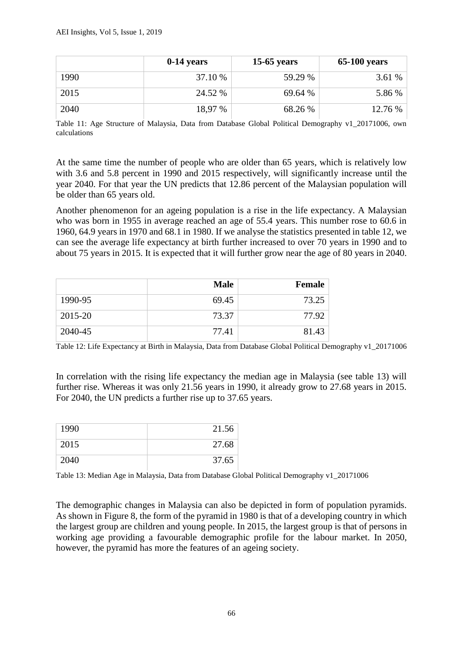|      | $0-14$ years | $15-65$ years | $65-100$ years |
|------|--------------|---------------|----------------|
| 1990 | 37.10 %      | 59.29 %       | 3.61 %         |
| 2015 | 24.52 %      | 69.64 %       | 5.86 %         |
| 2040 | 18,97 %      | 68.26 %       | 12.76 %        |

Table 11: Age Structure of Malaysia, Data from Database Global Political Demography v1\_20171006, own calculations

At the same time the number of people who are older than 65 years, which is relatively low with 3.6 and 5.8 percent in 1990 and 2015 respectively, will significantly increase until the year 2040. For that year the UN predicts that 12.86 percent of the Malaysian population will be older than 65 years old.

Another phenomenon for an ageing population is a rise in the life expectancy. A Malaysian who was born in 1955 in average reached an age of 55.4 years. This number rose to 60.6 in 1960, 64.9 years in 1970 and 68.1 in 1980. If we analyse the statistics presented in table 12, we can see the average life expectancy at birth further increased to over 70 years in 1990 and to about 75 years in 2015. It is expected that it will further grow near the age of 80 years in 2040.

|         | <b>Male</b> | <b>Female</b> |
|---------|-------------|---------------|
| 1990-95 | 69.45       | 73.25         |
| 2015-20 | 73.37       | 77.92         |
| 2040-45 | 77.41       | 81.43         |

Table 12: Life Expectancy at Birth in Malaysia, Data from Database Global Political Demography v1\_20171006

In correlation with the rising life expectancy the median age in Malaysia (see table 13) will further rise. Whereas it was only 21.56 years in 1990, it already grow to 27.68 years in 2015. For 2040, the UN predicts a further rise up to 37.65 years.

| 1990 | 21.56 |
|------|-------|
| 2015 | 27.68 |
| 2040 | 37.65 |

Table 13: Median Age in Malaysia, Data from Database Global Political Demography v1\_20171006

The demographic changes in Malaysia can also be depicted in form of population pyramids. As shown in Figure 8, the form of the pyramid in 1980 is that of a developing country in which the largest group are children and young people. In 2015, the largest group is that of persons in working age providing a favourable demographic profile for the labour market. In 2050, however, the pyramid has more the features of an ageing society.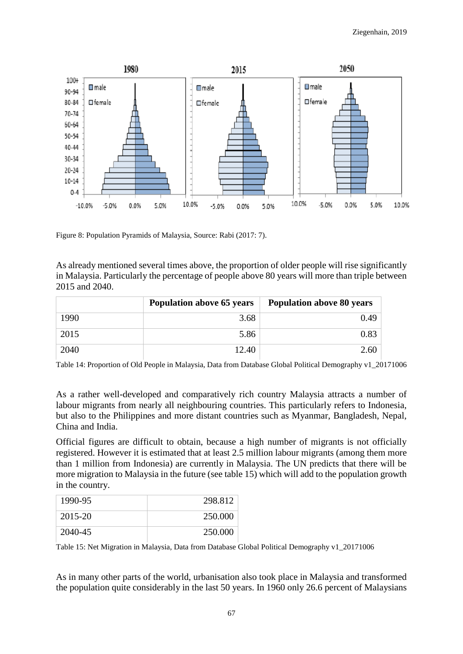

Figure 8: Population Pyramids of Malaysia, Source: Rabi (2017: 7).

As already mentioned several times above, the proportion of older people will rise significantly in Malaysia. Particularly the percentage of people above 80 years will more than triple between 2015 and 2040.

|      | <b>Population above 65 years</b> | <b>Population above 80 years</b> |  |
|------|----------------------------------|----------------------------------|--|
| 1990 | 3.68                             | 0.49                             |  |
| 2015 | 5.86                             | 0.83                             |  |
| 2040 | 12.40                            | 2.60                             |  |

Table 14: Proportion of Old People in Malaysia, Data from Database Global Political Demography v1\_20171006

As a rather well-developed and comparatively rich country Malaysia attracts a number of labour migrants from nearly all neighbouring countries. This particularly refers to Indonesia, but also to the Philippines and more distant countries such as Myanmar, Bangladesh, Nepal, China and India.

Official figures are difficult to obtain, because a high number of migrants is not officially registered. However it is estimated that at least 2.5 million labour migrants (among them more than 1 million from Indonesia) are currently in Malaysia. The UN predicts that there will be more migration to Malaysia in the future (see table 15) which will add to the population growth in the country.

| 1990-95 | 298.812 |
|---------|---------|
| 2015-20 | 250.000 |
| 2040-45 | 250,000 |

Table 15: Net Migration in Malaysia, Data from Database Global Political Demography v1\_20171006

As in many other parts of the world, urbanisation also took place in Malaysia and transformed the population quite considerably in the last 50 years. In 1960 only 26.6 percent of Malaysians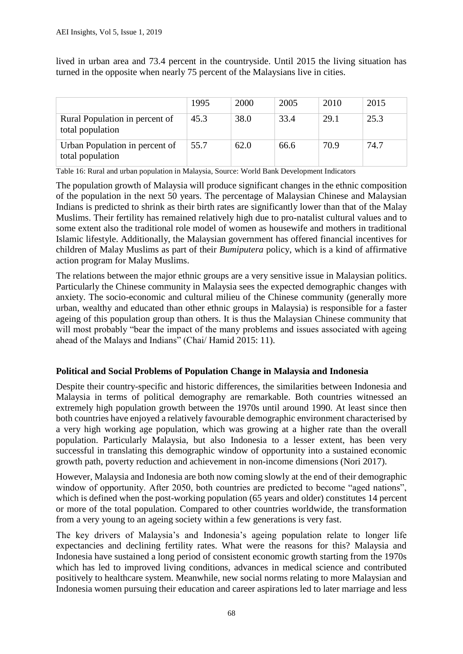lived in urban area and 73.4 percent in the countryside. Until 2015 the living situation has turned in the opposite when nearly 75 percent of the Malaysians live in cities.

|                                                    | 1995 | 2000 | 2005 | 2010 | 2015 |
|----------------------------------------------------|------|------|------|------|------|
| Rural Population in percent of<br>total population | 45.3 | 38.0 | 33.4 | 29.1 | 25.3 |
| Urban Population in percent of<br>total population | 55.7 | 62.0 | 66.6 | 70.9 | 74.7 |

Table 16: Rural and urban population in Malaysia, Source: World Bank Development Indicators

The population growth of Malaysia will produce significant changes in the ethnic composition of the population in the next 50 years. The percentage of Malaysian Chinese and Malaysian Indians is predicted to shrink as their birth rates are significantly lower than that of the Malay Muslims. Their fertility has remained relatively high due to pro-natalist cultural values and to some extent also the traditional role model of women as housewife and mothers in traditional Islamic lifestyle. Additionally, the Malaysian government has offered financial incentives for children of Malay Muslims as part of their *Bumiputera* policy, which is a kind of affirmative action program for Malay Muslims.

The relations between the major ethnic groups are a very sensitive issue in Malaysian politics. Particularly the Chinese community in Malaysia sees the expected demographic changes with anxiety. The socio-economic and cultural milieu of the Chinese community (generally more urban, wealthy and educated than other ethnic groups in Malaysia) is responsible for a faster ageing of this population group than others. It is thus the Malaysian Chinese community that will most probably "bear the impact of the many problems and issues associated with ageing ahead of the Malays and Indians" (Chai/ Hamid 2015: 11).

## **Political and Social Problems of Population Change in Malaysia and Indonesia**

Despite their country-specific and historic differences, the similarities between Indonesia and Malaysia in terms of political demography are remarkable. Both countries witnessed an extremely high population growth between the 1970s until around 1990. At least since then both countries have enjoyed a relatively favourable demographic environment characterised by a very high working age population, which was growing at a higher rate than the overall population. Particularly Malaysia, but also Indonesia to a lesser extent, has been very successful in translating this demographic window of opportunity into a sustained economic growth path, poverty reduction and achievement in non-income dimensions (Nori 2017).

However, Malaysia and Indonesia are both now coming slowly at the end of their demographic window of opportunity. After 2050, both countries are predicted to become "aged nations", which is defined when the post-working population (65 years and older) constitutes 14 percent or more of the total population. Compared to other countries worldwide, the transformation from a very young to an ageing society within a few generations is very fast.

The key drivers of Malaysia's and Indonesia's ageing population relate to longer life expectancies and declining fertility rates. What were the reasons for this? Malaysia and Indonesia have sustained a long period of consistent economic growth starting from the 1970s which has led to improved living conditions, advances in medical science and contributed positively to healthcare system. Meanwhile, new social norms relating to more Malaysian and Indonesia women pursuing their education and career aspirations led to later marriage and less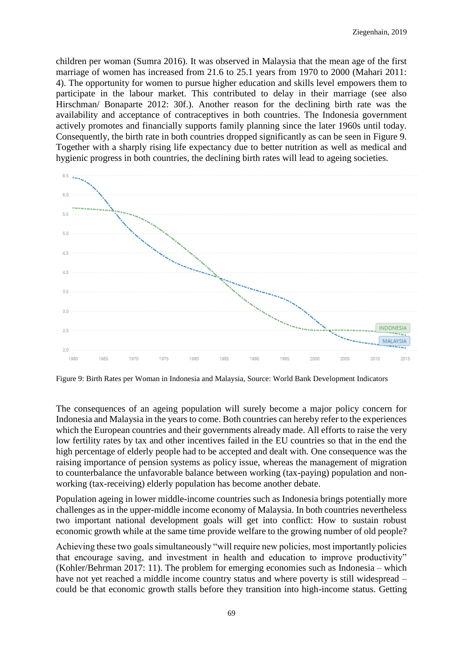children per woman (Sumra 2016). It was observed in Malaysia that the mean age of the first marriage of women has increased from 21.6 to 25.1 years from 1970 to 2000 (Mahari 2011: 4). The opportunity for women to pursue higher education and skills level empowers them to participate in the labour market. This contributed to delay in their marriage (see also Hirschman/ Bonaparte 2012: 30f.). Another reason for the declining birth rate was the availability and acceptance of contraceptives in both countries. The Indonesia government actively promotes and financially supports family planning since the later 1960s until today. Consequently, the birth rate in both countries dropped significantly as can be seen in Figure 9. Together with a sharply rising life expectancy due to better nutrition as well as medical and hygienic progress in both countries, the declining birth rates will lead to ageing societies.



Figure 9: Birth Rates per Woman in Indonesia and Malaysia, Source: World Bank Development Indicators

The consequences of an ageing population will surely become a major policy concern for Indonesia and Malaysia in the years to come. Both countries can hereby refer to the experiences which the European countries and their governments already made. All efforts to raise the very low fertility rates by tax and other incentives failed in the EU countries so that in the end the high percentage of elderly people had to be accepted and dealt with. One consequence was the raising importance of pension systems as policy issue, whereas the management of migration to counterbalance the unfavorable balance between working (tax-paying) population and nonworking (tax-receiving) elderly population has become another debate.

Population ageing in lower middle-income countries such as Indonesia brings potentially more challenges as in the upper-middle income economy of Malaysia. In both countries nevertheless two important national development goals will get into conflict: How to sustain robust economic growth while at the same time provide welfare to the growing number of old people?

Achieving these two goals simultaneously "will require new policies, most importantly policies that encourage saving, and investment in health and education to improve productivity" (Kohler/Behrman 2017: 11). The problem for emerging economies such as Indonesia – which have not yet reached a middle income country status and where poverty is still widespread – could be that economic growth stalls before they transition into high-income status. Getting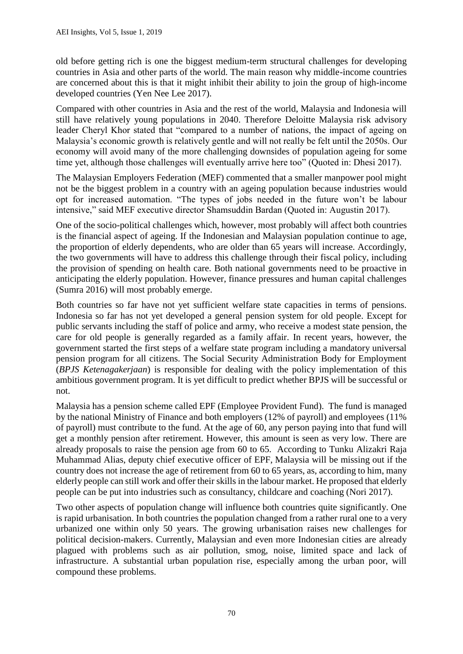old before getting rich is one the biggest medium-term structural challenges for developing countries in Asia and other parts of the world. The main reason why middle-income countries are concerned about this is that it might inhibit their ability to join the group of high-income developed countries (Yen Nee Lee 2017).

Compared with other countries in Asia and the rest of the world, Malaysia and Indonesia will still have relatively young populations in 2040. Therefore Deloitte Malaysia risk advisory leader Cheryl Khor stated that "compared to a number of nations, the impact of ageing on Malaysia's economic growth is relatively gentle and will not really be felt until the 2050s. Our economy will avoid many of the more challenging downsides of population ageing for some time yet, although those challenges will eventually arrive here too" (Quoted in: Dhesi 2017).

The Malaysian Employers Federation (MEF) commented that a smaller manpower pool might not be the biggest problem in a country with an ageing population because industries would opt for increased automation. "The types of jobs needed in the future won't be labour intensive," said MEF executive director Shamsuddin Bardan (Quoted in: Augustin 2017).

One of the socio-political challenges which, however, most probably will affect both countries is the financial aspect of ageing. If the Indonesian and Malaysian population continue to age, the proportion of elderly dependents, who are older than 65 years will increase. Accordingly, the two governments will have to address this challenge through their fiscal policy, including the provision of spending on health care. Both national governments need to be proactive in anticipating the elderly population. However, finance pressures and human capital challenges (Sumra 2016) will most probably emerge.

Both countries so far have not yet sufficient welfare state capacities in terms of pensions. Indonesia so far has not yet developed a general pension system for old people. Except for public servants including the staff of police and army, who receive a modest state pension, the care for old people is generally regarded as a family affair. In recent years, however, the government started the first steps of a welfare state program including a mandatory universal pension program for all citizens. The Social Security Administration Body for Employment (*BPJS Ketenagakerjaan*) is responsible for dealing with the policy implementation of this ambitious government program. It is yet difficult to predict whether BPJS will be successful or not.

Malaysia has a pension scheme called EPF (Employee Provident Fund). The fund is managed by the national Ministry of Finance and both employers (12% of payroll) and employees (11% of payroll) must contribute to the fund. At the age of 60, any person paying into that fund will get a monthly pension after retirement. However, this amount is seen as very low. There are already proposals to raise the pension age from 60 to 65. According to Tunku Alizakri Raja Muhammad Alias, deputy chief executive officer of EPF, Malaysia will be missing out if the country does not increase the age of retirement from 60 to 65 years, as, according to him, many elderly people can still work and offer their skills in the labour market. He proposed that elderly people can be put into industries such as consultancy, childcare and coaching (Nori 2017).

Two other aspects of population change will influence both countries quite significantly. One is rapid urbanisation. In both countries the population changed from a rather rural one to a very urbanized one within only 50 years. The growing urbanisation raises new challenges for political decision-makers. Currently, Malaysian and even more Indonesian cities are already plagued with problems such as air pollution, smog, noise, limited space and lack of infrastructure. A substantial urban population rise, especially among the urban poor, will compound these problems.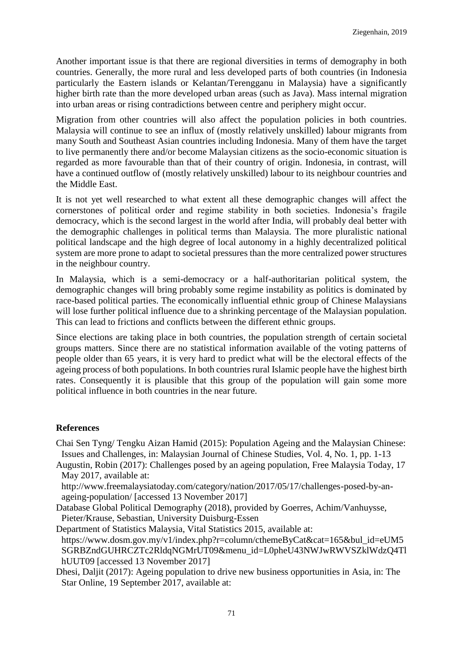Another important issue is that there are regional diversities in terms of demography in both countries. Generally, the more rural and less developed parts of both countries (in Indonesia particularly the Eastern islands or Kelantan/Terengganu in Malaysia) have a significantly higher birth rate than the more developed urban areas (such as Java). Mass internal migration into urban areas or rising contradictions between centre and periphery might occur.

Migration from other countries will also affect the population policies in both countries. Malaysia will continue to see an influx of (mostly relatively unskilled) labour migrants from many South and Southeast Asian countries including Indonesia. Many of them have the target to live permanently there and/or become Malaysian citizens as the socio-economic situation is regarded as more favourable than that of their country of origin. Indonesia, in contrast, will have a continued outflow of (mostly relatively unskilled) labour to its neighbour countries and the Middle East.

It is not yet well researched to what extent all these demographic changes will affect the cornerstones of political order and regime stability in both societies. Indonesia's fragile democracy, which is the second largest in the world after India, will probably deal better with the demographic challenges in political terms than Malaysia. The more pluralistic national political landscape and the high degree of local autonomy in a highly decentralized political system are more prone to adapt to societal pressures than the more centralized power structures in the neighbour country.

In Malaysia, which is a semi-democracy or a half-authoritarian political system, the demographic changes will bring probably some regime instability as politics is dominated by race-based political parties. The economically influential ethnic group of Chinese Malaysians will lose further political influence due to a shrinking percentage of the Malaysian population. This can lead to frictions and conflicts between the different ethnic groups.

Since elections are taking place in both countries, the population strength of certain societal groups matters. Since there are no statistical information available of the voting patterns of people older than 65 years, it is very hard to predict what will be the electoral effects of the ageing process of both populations. In both countries rural Islamic people have the highest birth rates. Consequently it is plausible that this group of the population will gain some more political influence in both countries in the near future.

## **References**

Chai Sen Tyng/ Tengku Aizan Hamid (2015): Population Ageing and the Malaysian Chinese: Issues and Challenges, in: Malaysian Journal of Chinese Studies, Vol. 4, No. 1, pp. 1-13

Augustin, Robin (2017): Challenges posed by an ageing population, Free Malaysia Today, 17 May 2017, available at:

[http://www.freemalaysiatoday.com/category/nation/2017/05/17/challenges-posed-by-an](http://www.freemalaysiatoday.com/category/nation/2017/05/17/challenges-posed-by-an-ageing-population/)[ageing-population/](http://www.freemalaysiatoday.com/category/nation/2017/05/17/challenges-posed-by-an-ageing-population/) [accessed 13 November 2017]

Database Global Political Demography (2018), provided by Goerres, Achim/Vanhuysse, Pieter/Krause, Sebastian, University Duisburg-Essen

Department of Statistics Malaysia, Vital Statistics 2015, available at: [https://www.dosm.gov.my/v1/index.php?r=column/cthemeByCat&cat=165&bul\\_id=eUM5](https://www.dosm.gov.my/v1/index.php?r=column/cthemeByCat&cat=165&bul_id=eUM5SGRBZndGUHRCZTc2RldqNGMrUT09&menu_id=L0pheU43NWJwRWVSZklWdzQ4TlhUUT09) [SGRBZndGUHRCZTc2RldqNGMrUT09&menu\\_id=L0pheU43NWJwRWVSZklWdzQ4Tl](https://www.dosm.gov.my/v1/index.php?r=column/cthemeByCat&cat=165&bul_id=eUM5SGRBZndGUHRCZTc2RldqNGMrUT09&menu_id=L0pheU43NWJwRWVSZklWdzQ4TlhUUT09) [hUUT09](https://www.dosm.gov.my/v1/index.php?r=column/cthemeByCat&cat=165&bul_id=eUM5SGRBZndGUHRCZTc2RldqNGMrUT09&menu_id=L0pheU43NWJwRWVSZklWdzQ4TlhUUT09) [accessed 13 November 2017]

Dhesi, Daljit (2017): Ageing population to drive new business opportunities in Asia, in: The Star Online, 19 September 2017, available at: